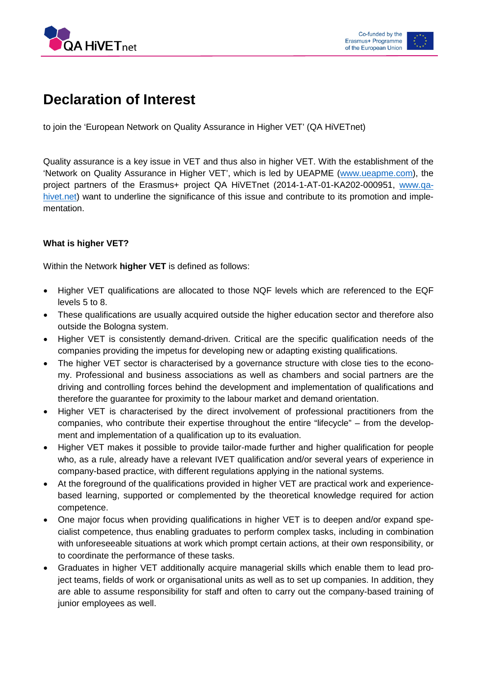



# **Declaration of Interest**

to join the 'European Network on Quality Assurance in Higher VET' (QA HiVETnet)

Quality assurance is a key issue in VET and thus also in higher VET. With the establishment of the 'Network on Quality Assurance in Higher VET', which is led by UEAPME [\(www.ueapme.com\)](http://www.ueapme.com/), the project partners of the Erasmus+ project QA HiVETnet (2014-1-AT-01-KA202-000951, [www.qa](http://www.qa-hivet.net/)[hivet.net\)](http://www.qa-hivet.net/) want to underline the significance of this issue and contribute to its promotion and implementation.

## **What is higher VET?**

Within the Network **higher VET** is defined as follows:

- Higher VET qualifications are allocated to those NQF levels which are referenced to the EQF levels 5 to 8.
- These qualifications are usually acquired outside the higher education sector and therefore also outside the Bologna system.
- Higher VET is consistently demand-driven. Critical are the specific qualification needs of the companies providing the impetus for developing new or adapting existing qualifications.
- The higher VET sector is characterised by a governance structure with close ties to the economy. Professional and business associations as well as chambers and social partners are the driving and controlling forces behind the development and implementation of qualifications and therefore the guarantee for proximity to the labour market and demand orientation.
- Higher VET is characterised by the direct involvement of professional practitioners from the companies, who contribute their expertise throughout the entire "lifecycle" – from the development and implementation of a qualification up to its evaluation.
- Higher VET makes it possible to provide tailor-made further and higher qualification for people who, as a rule, already have a relevant IVET qualification and/or several years of experience in company-based practice, with different regulations applying in the national systems.
- At the foreground of the qualifications provided in higher VET are practical work and experiencebased learning, supported or complemented by the theoretical knowledge required for action competence.
- One major focus when providing qualifications in higher VET is to deepen and/or expand specialist competence, thus enabling graduates to perform complex tasks, including in combination with unforeseeable situations at work which prompt certain actions, at their own responsibility, or to coordinate the performance of these tasks.
- Graduates in higher VET additionally acquire managerial skills which enable them to lead project teams, fields of work or organisational units as well as to set up companies. In addition, they are able to assume responsibility for staff and often to carry out the company-based training of junior employees as well.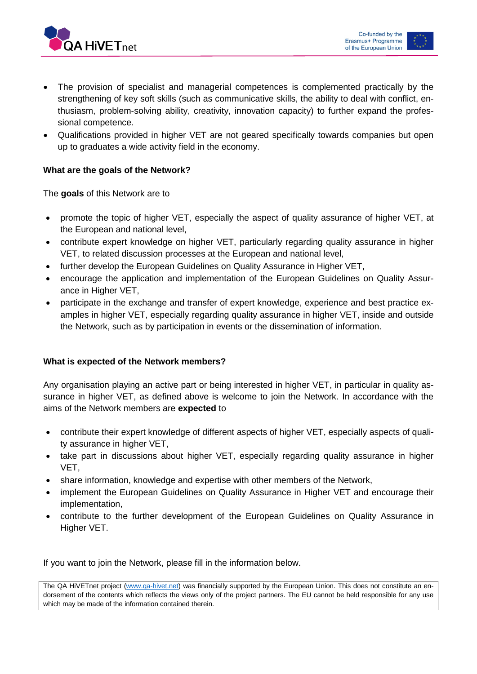



- The provision of specialist and managerial competences is complemented practically by the strengthening of key soft skills (such as communicative skills, the ability to deal with conflict, enthusiasm, problem-solving ability, creativity, innovation capacity) to further expand the professional competence.
- Qualifications provided in higher VET are not geared specifically towards companies but open up to graduates a wide activity field in the economy.

## **What are the goals of the Network?**

The **goals** of this Network are to

- promote the topic of higher VET, especially the aspect of quality assurance of higher VET, at the European and national level,
- contribute expert knowledge on higher VET, particularly regarding quality assurance in higher VET, to related discussion processes at the European and national level,
- further develop the European Guidelines on Quality Assurance in Higher VET,
- encourage the application and implementation of the European Guidelines on Quality Assurance in Higher VET,
- participate in the exchange and transfer of expert knowledge, experience and best practice examples in higher VET, especially regarding quality assurance in higher VET, inside and outside the Network, such as by participation in events or the dissemination of information.

## **What is expected of the Network members?**

Any organisation playing an active part or being interested in higher VET, in particular in quality assurance in higher VET, as defined above is welcome to join the Network. In accordance with the aims of the Network members are **expected** to

- contribute their expert knowledge of different aspects of higher VET, especially aspects of quality assurance in higher VET,
- take part in discussions about higher VET, especially regarding quality assurance in higher VET,
- share information, knowledge and expertise with other members of the Network,
- implement the European Guidelines on Quality Assurance in Higher VET and encourage their implementation,
- contribute to the further development of the European Guidelines on Quality Assurance in Higher VET.

If you want to join the Network, please fill in the information below.

The QA HiVETnet project [\(www.qa-hivet.net\)](http://www.qa-hivet.net/) was financially supported by the European Union. This does not constitute an endorsement of the contents which reflects the views only of the project partners. The EU cannot be held responsible for any use which may be made of the information contained therein.